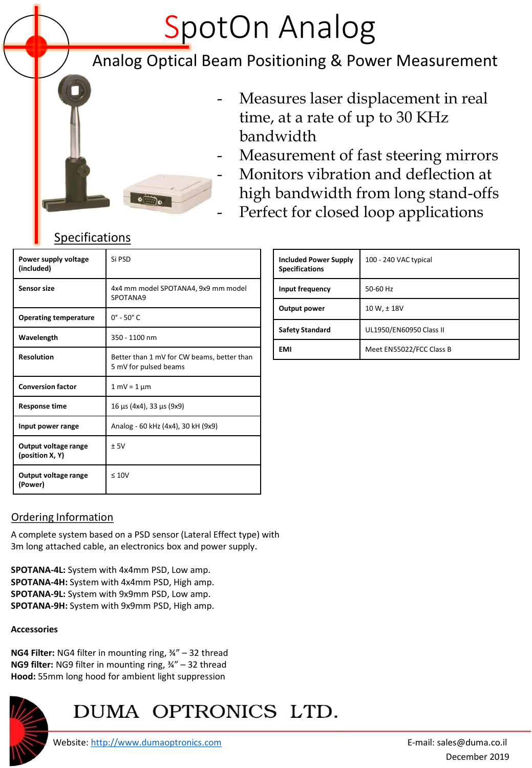# SpotOn Analog

## Analog Optical Beam Positioning & Power Measurement



- Measures laser displacement in real time, at a rate of up to 30 KHz bandwidth
	- Measurement of fast steering mirrors Monitors vibration and deflection at high bandwidth from long stand-offs Perfect for closed loop applications

## Specifications

| Power supply voltage<br>(included)      | Si PSD                                                              |
|-----------------------------------------|---------------------------------------------------------------------|
| Sensor size                             | 4x4 mm model SPOTANA4, 9x9 mm model<br>SPOTANA9                     |
| <b>Operating temperature</b>            | $0^{\circ}$ - 50 $^{\circ}$ C                                       |
| Wavelength                              | 350 - 1100 nm                                                       |
| <b>Resolution</b>                       | Better than 1 mV for CW beams, better than<br>5 mV for pulsed beams |
| <b>Conversion factor</b>                | $1 mV = 1 \mu m$                                                    |
| <b>Response time</b>                    | 16 μs (4x4), 33 μs (9x9)                                            |
| Input power range                       | Analog - 60 kHz (4x4), 30 kH (9x9)                                  |
| Output voltage range<br>(position X, Y) | ±5V                                                                 |
| Output voltage range<br>(Power)         | $\leq 10V$                                                          |

| <b>Included Power Supply</b><br><b>Specifications</b> | 100 - 240 VAC typical    |
|-------------------------------------------------------|--------------------------|
| Input frequency                                       | 50-60 Hz                 |
| Output power                                          | $10 W, \pm 18V$          |
| Safety Standard                                       | UL1950/EN60950 Class II  |
| <b>FMI</b>                                            | Meet EN55022/FCC Class B |

### Ordering Information

A complete system based on a PSD sensor (Lateral Effect type) with 3m long attached cable, an electronics box and power supply.

**SPOTANA-4L:** System with 4x4mm PSD, Low amp. **SPOTANA-4H:** System with 4x4mm PSD, High amp. **SPOTANA-9L:** System with 9x9mm PSD, Low amp. **SPOTANA-9H:** System with 9x9mm PSD, High amp.

**Accessories**

**NG4 Filter:** NG4 filter in mounting ring, ¾" – 32 thread **NG9 filter:** NG9 filter in mounting ring, ¾" – 32 thread **Hood:** 55mm long hood for ambient light suppression



## DUMA OPTRONICS LTD.

Website: [http://www.dumaoptronics.com](http://www.dumaoptronics.com/) example and the same of the E-mail: sales@duma.co.il